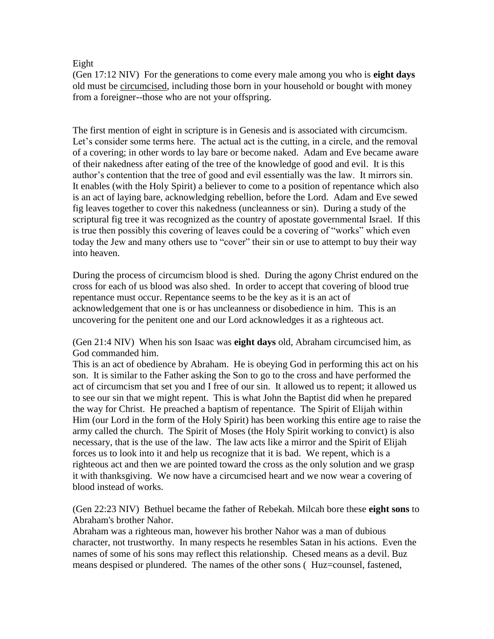## Eight

(Gen 17:12 NIV) For the generations to come every male among you who is **eight days** old must be circumcised, including those born in your household or bought with money from a foreigner--those who are not your offspring.

The first mention of eight in scripture is in Genesis and is associated with circumcism. Let's consider some terms here. The actual act is the cutting, in a circle, and the removal of a covering; in other words to lay bare or become naked. Adam and Eve became aware of their nakedness after eating of the tree of the knowledge of good and evil. It is this author's contention that the tree of good and evil essentially was the law. It mirrors sin. It enables (with the Holy Spirit) a believer to come to a position of repentance which also is an act of laying bare, acknowledging rebellion, before the Lord. Adam and Eve sewed fig leaves together to cover this nakedness (uncleanness or sin). During a study of the scriptural fig tree it was recognized as the country of apostate governmental Israel. If this is true then possibly this covering of leaves could be a covering of "works" which even today the Jew and many others use to "cover" their sin or use to attempt to buy their way into heaven.

During the process of circumcism blood is shed. During the agony Christ endured on the cross for each of us blood was also shed. In order to accept that covering of blood true repentance must occur. Repentance seems to be the key as it is an act of acknowledgement that one is or has uncleanness or disobedience in him. This is an uncovering for the penitent one and our Lord acknowledges it as a righteous act.

(Gen 21:4 NIV) When his son Isaac was **eight days** old, Abraham circumcised him, as God commanded him.

This is an act of obedience by Abraham. He is obeying God in performing this act on his son. It is similar to the Father asking the Son to go to the cross and have performed the act of circumcism that set you and I free of our sin. It allowed us to repent; it allowed us to see our sin that we might repent. This is what John the Baptist did when he prepared the way for Christ. He preached a baptism of repentance. The Spirit of Elijah within Him (our Lord in the form of the Holy Spirit) has been working this entire age to raise the army called the church. The Spirit of Moses (the Holy Spirit working to convict) is also necessary, that is the use of the law. The law acts like a mirror and the Spirit of Elijah forces us to look into it and help us recognize that it is bad. We repent, which is a righteous act and then we are pointed toward the cross as the only solution and we grasp it with thanksgiving. We now have a circumcised heart and we now wear a covering of blood instead of works.

(Gen 22:23 NIV) Bethuel became the father of Rebekah. Milcah bore these **eight sons** to Abraham's brother Nahor.

Abraham was a righteous man, however his brother Nahor was a man of dubious character, not trustworthy. In many respects he resembles Satan in his actions. Even the names of some of his sons may reflect this relationship. Chesed means as a devil. Buz means despised or plundered. The names of the other sons (Huz=counsel, fastened,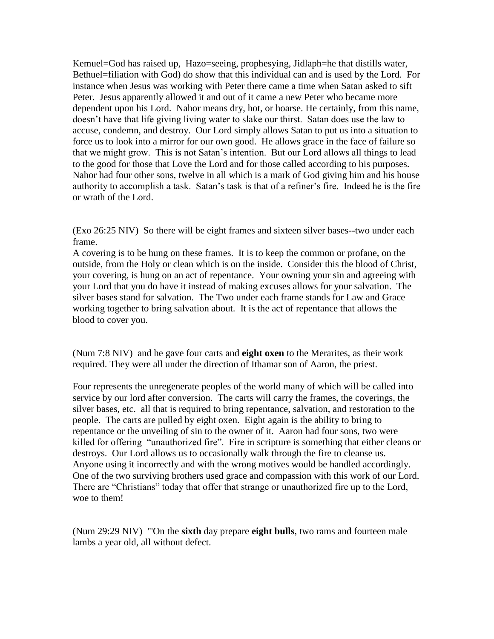Kemuel=God has raised up, Hazo=seeing, prophesying, Jidlaph=he that distills water, Bethuel=filiation with God) do show that this individual can and is used by the Lord. For instance when Jesus was working with Peter there came a time when Satan asked to sift Peter. Jesus apparently allowed it and out of it came a new Peter who became more dependent upon his Lord. Nahor means dry, hot, or hoarse. He certainly, from this name, doesn't have that life giving living water to slake our thirst. Satan does use the law to accuse, condemn, and destroy. Our Lord simply allows Satan to put us into a situation to force us to look into a mirror for our own good. He allows grace in the face of failure so that we might grow. This is not Satan's intention. But our Lord allows all things to lead to the good for those that Love the Lord and for those called according to his purposes. Nahor had four other sons, twelve in all which is a mark of God giving him and his house authority to accomplish a task. Satan's task is that of a refiner's fire. Indeed he is the fire or wrath of the Lord.

(Exo 26:25 NIV) So there will be eight frames and sixteen silver bases--two under each frame.

A covering is to be hung on these frames. It is to keep the common or profane, on the outside, from the Holy or clean which is on the inside. Consider this the blood of Christ, your covering, is hung on an act of repentance. Your owning your sin and agreeing with your Lord that you do have it instead of making excuses allows for your salvation. The silver bases stand for salvation. The Two under each frame stands for Law and Grace working together to bring salvation about. It is the act of repentance that allows the blood to cover you.

(Num 7:8 NIV) and he gave four carts and **eight oxen** to the Merarites, as their work required. They were all under the direction of Ithamar son of Aaron, the priest.

Four represents the unregenerate peoples of the world many of which will be called into service by our lord after conversion. The carts will carry the frames, the coverings, the silver bases, etc. all that is required to bring repentance, salvation, and restoration to the people. The carts are pulled by eight oxen. Eight again is the ability to bring to repentance or the unveiling of sin to the owner of it. Aaron had four sons, two were killed for offering "unauthorized fire". Fire in scripture is something that either cleans or destroys. Our Lord allows us to occasionally walk through the fire to cleanse us. Anyone using it incorrectly and with the wrong motives would be handled accordingly. One of the two surviving brothers used grace and compassion with this work of our Lord. There are "Christians" today that offer that strange or unauthorized fire up to the Lord, woe to them!

(Num 29:29 NIV) "'On the **sixth** day prepare **eight bulls**, two rams and fourteen male lambs a year old, all without defect.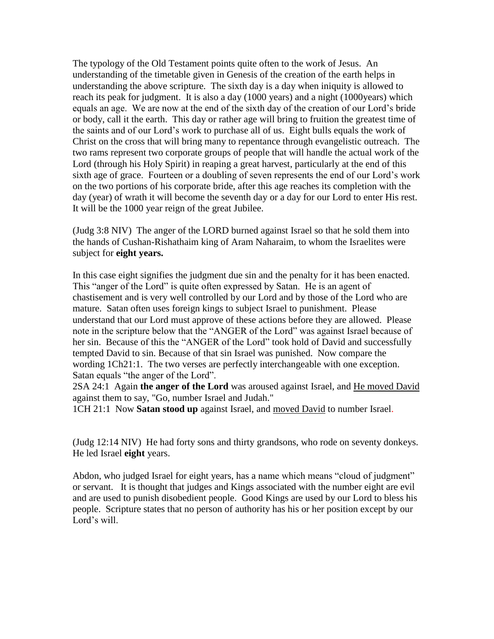The typology of the Old Testament points quite often to the work of Jesus. An understanding of the timetable given in Genesis of the creation of the earth helps in understanding the above scripture. The sixth day is a day when iniquity is allowed to reach its peak for judgment. It is also a day (1000 years) and a night (1000years) which equals an age. We are now at the end of the sixth day of the creation of our Lord's bride or body, call it the earth. This day or rather age will bring to fruition the greatest time of the saints and of our Lord's work to purchase all of us. Eight bulls equals the work of Christ on the cross that will bring many to repentance through evangelistic outreach. The two rams represent two corporate groups of people that will handle the actual work of the Lord (through his Holy Spirit) in reaping a great harvest, particularly at the end of this sixth age of grace. Fourteen or a doubling of seven represents the end of our Lord's work on the two portions of his corporate bride, after this age reaches its completion with the day (year) of wrath it will become the seventh day or a day for our Lord to enter His rest. It will be the 1000 year reign of the great Jubilee.

(Judg 3:8 NIV) The anger of the LORD burned against Israel so that he sold them into the hands of Cushan-Rishathaim king of Aram Naharaim, to whom the Israelites were subject for **eight years.**

In this case eight signifies the judgment due sin and the penalty for it has been enacted. This "anger of the Lord" is quite often expressed by Satan. He is an agent of chastisement and is very well controlled by our Lord and by those of the Lord who are mature. Satan often uses foreign kings to subject Israel to punishment. Please understand that our Lord must approve of these actions before they are allowed. Please note in the scripture below that the "ANGER of the Lord" was against Israel because of her sin. Because of this the "ANGER of the Lord" took hold of David and successfully tempted David to sin. Because of that sin Israel was punished. Now compare the wording 1Ch21:1. The two verses are perfectly interchangeable with one exception. Satan equals "the anger of the Lord".

2SA 24:1 Again **the anger of the Lord** was aroused against Israel, and He moved David against them to say, "Go, number Israel and Judah."

1CH 21:1 Now **Satan stood up** against Israel, and moved David to number Israel.

(Judg 12:14 NIV) He had forty sons and thirty grandsons, who rode on seventy donkeys. He led Israel **eight** years.

Abdon, who judged Israel for eight years, has a name which means "cloud of judgment" or servant. It is thought that judges and Kings associated with the number eight are evil and are used to punish disobedient people. Good Kings are used by our Lord to bless his people. Scripture states that no person of authority has his or her position except by our Lord's will.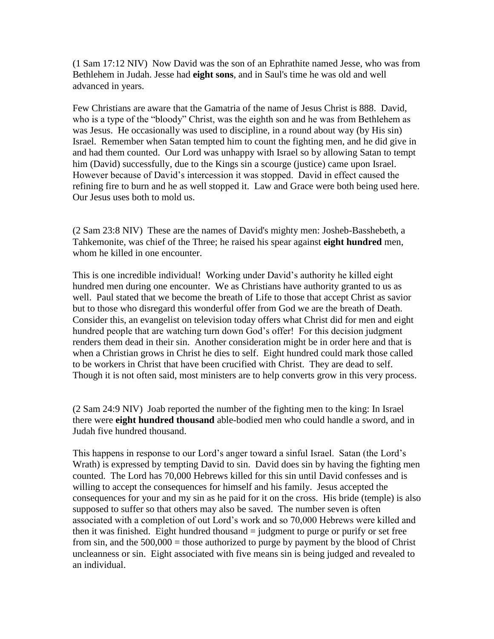(1 Sam 17:12 NIV) Now David was the son of an Ephrathite named Jesse, who was from Bethlehem in Judah. Jesse had **eight sons**, and in Saul's time he was old and well advanced in years.

Few Christians are aware that the Gamatria of the name of Jesus Christ is 888. David, who is a type of the "bloody" Christ, was the eighth son and he was from Bethlehem as was Jesus. He occasionally was used to discipline, in a round about way (by His sin) Israel. Remember when Satan tempted him to count the fighting men, and he did give in and had them counted. Our Lord was unhappy with Israel so by allowing Satan to tempt him (David) successfully, due to the Kings sin a scourge (justice) came upon Israel. However because of David's intercession it was stopped. David in effect caused the refining fire to burn and he as well stopped it. Law and Grace were both being used here. Our Jesus uses both to mold us.

(2 Sam 23:8 NIV) These are the names of David's mighty men: Josheb-Basshebeth, a Tahkemonite, was chief of the Three; he raised his spear against **eight hundred** men, whom he killed in one encounter.

This is one incredible individual! Working under David's authority he killed eight hundred men during one encounter. We as Christians have authority granted to us as well. Paul stated that we become the breath of Life to those that accept Christ as savior but to those who disregard this wonderful offer from God we are the breath of Death. Consider this, an evangelist on television today offers what Christ did for men and eight hundred people that are watching turn down God's offer! For this decision judgment renders them dead in their sin. Another consideration might be in order here and that is when a Christian grows in Christ he dies to self. Eight hundred could mark those called to be workers in Christ that have been crucified with Christ. They are dead to self. Though it is not often said, most ministers are to help converts grow in this very process.

(2 Sam 24:9 NIV) Joab reported the number of the fighting men to the king: In Israel there were **eight hundred thousand** able-bodied men who could handle a sword, and in Judah five hundred thousand.

This happens in response to our Lord's anger toward a sinful Israel. Satan (the Lord's Wrath) is expressed by tempting David to sin. David does sin by having the fighting men counted. The Lord has 70,000 Hebrews killed for this sin until David confesses and is willing to accept the consequences for himself and his family. Jesus accepted the consequences for your and my sin as he paid for it on the cross. His bride (temple) is also supposed to suffer so that others may also be saved. The number seven is often associated with a completion of out Lord's work and so 70,000 Hebrews were killed and then it was finished. Eight hundred thousand  $=$  judgment to purge or purify or set free from sin, and the  $500,000 =$  those authorized to purge by payment by the blood of Christ uncleanness or sin. Eight associated with five means sin is being judged and revealed to an individual.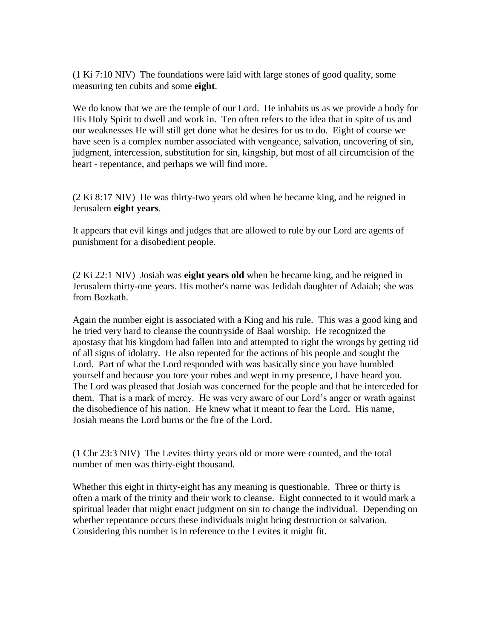(1 Ki 7:10 NIV) The foundations were laid with large stones of good quality, some measuring ten cubits and some **eight**.

We do know that we are the temple of our Lord. He inhabits us as we provide a body for His Holy Spirit to dwell and work in. Ten often refers to the idea that in spite of us and our weaknesses He will still get done what he desires for us to do. Eight of course we have seen is a complex number associated with vengeance, salvation, uncovering of sin, judgment, intercession, substitution for sin, kingship, but most of all circumcision of the heart - repentance, and perhaps we will find more.

(2 Ki 8:17 NIV) He was thirty-two years old when he became king, and he reigned in Jerusalem **eight years**.

It appears that evil kings and judges that are allowed to rule by our Lord are agents of punishment for a disobedient people.

(2 Ki 22:1 NIV) Josiah was **eight years old** when he became king, and he reigned in Jerusalem thirty-one years. His mother's name was Jedidah daughter of Adaiah; she was from Bozkath.

Again the number eight is associated with a King and his rule. This was a good king and he tried very hard to cleanse the countryside of Baal worship. He recognized the apostasy that his kingdom had fallen into and attempted to right the wrongs by getting rid of all signs of idolatry. He also repented for the actions of his people and sought the Lord. Part of what the Lord responded with was basically since you have humbled yourself and because you tore your robes and wept in my presence, I have heard you. The Lord was pleased that Josiah was concerned for the people and that he interceded for them. That is a mark of mercy. He was very aware of our Lord's anger or wrath against the disobedience of his nation. He knew what it meant to fear the Lord. His name, Josiah means the Lord burns or the fire of the Lord.

(1 Chr 23:3 NIV) The Levites thirty years old or more were counted, and the total number of men was thirty-eight thousand.

Whether this eight in thirty-eight has any meaning is questionable. Three or thirty is often a mark of the trinity and their work to cleanse. Eight connected to it would mark a spiritual leader that might enact judgment on sin to change the individual. Depending on whether repentance occurs these individuals might bring destruction or salvation. Considering this number is in reference to the Levites it might fit.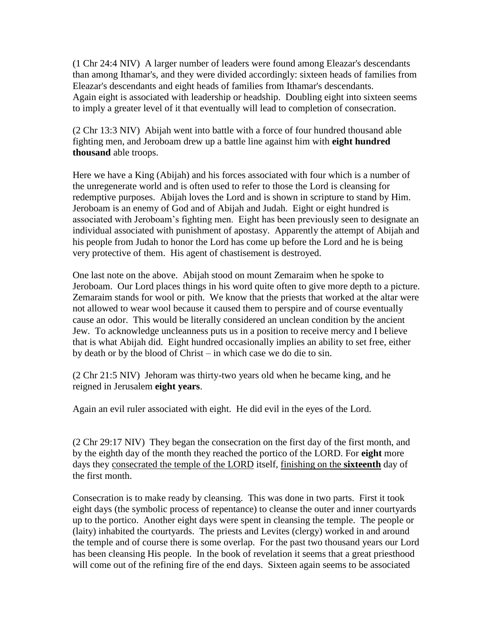(1 Chr 24:4 NIV) A larger number of leaders were found among Eleazar's descendants than among Ithamar's, and they were divided accordingly: sixteen heads of families from Eleazar's descendants and eight heads of families from Ithamar's descendants. Again eight is associated with leadership or headship. Doubling eight into sixteen seems to imply a greater level of it that eventually will lead to completion of consecration.

(2 Chr 13:3 NIV) Abijah went into battle with a force of four hundred thousand able fighting men, and Jeroboam drew up a battle line against him with **eight hundred thousand** able troops.

Here we have a King (Abijah) and his forces associated with four which is a number of the unregenerate world and is often used to refer to those the Lord is cleansing for redemptive purposes. Abijah loves the Lord and is shown in scripture to stand by Him. Jeroboam is an enemy of God and of Abijah and Judah. Eight or eight hundred is associated with Jeroboam's fighting men. Eight has been previously seen to designate an individual associated with punishment of apostasy. Apparently the attempt of Abijah and his people from Judah to honor the Lord has come up before the Lord and he is being very protective of them. His agent of chastisement is destroyed.

One last note on the above. Abijah stood on mount Zemaraim when he spoke to Jeroboam. Our Lord places things in his word quite often to give more depth to a picture. Zemaraim stands for wool or pith. We know that the priests that worked at the altar were not allowed to wear wool because it caused them to perspire and of course eventually cause an odor. This would be literally considered an unclean condition by the ancient Jew. To acknowledge uncleanness puts us in a position to receive mercy and I believe that is what Abijah did. Eight hundred occasionally implies an ability to set free, either by death or by the blood of Christ – in which case we do die to sin.

(2 Chr 21:5 NIV) Jehoram was thirty-two years old when he became king, and he reigned in Jerusalem **eight years**.

Again an evil ruler associated with eight. He did evil in the eyes of the Lord.

(2 Chr 29:17 NIV) They began the consecration on the first day of the first month, and by the eighth day of the month they reached the portico of the LORD. For **eight** more days they consecrated the temple of the LORD itself, finishing on the **sixteenth** day of the first month.

Consecration is to make ready by cleansing. This was done in two parts. First it took eight days (the symbolic process of repentance) to cleanse the outer and inner courtyards up to the portico. Another eight days were spent in cleansing the temple. The people or (laity) inhabited the courtyards. The priests and Levites (clergy) worked in and around the temple and of course there is some overlap. For the past two thousand years our Lord has been cleansing His people. In the book of revelation it seems that a great priesthood will come out of the refining fire of the end days. Sixteen again seems to be associated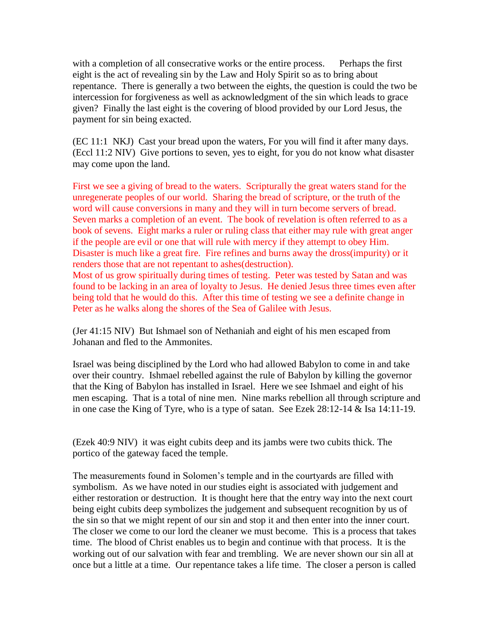with a completion of all consecrative works or the entire process. Perhaps the first eight is the act of revealing sin by the Law and Holy Spirit so as to bring about repentance. There is generally a two between the eights, the question is could the two be intercession for forgiveness as well as acknowledgment of the sin which leads to grace given? Finally the last eight is the covering of blood provided by our Lord Jesus, the payment for sin being exacted.

(EC 11:1 NKJ) Cast your bread upon the waters, For you will find it after many days. (Eccl 11:2 NIV) Give portions to seven, yes to eight, for you do not know what disaster may come upon the land.

First we see a giving of bread to the waters. Scripturally the great waters stand for the unregenerate peoples of our world. Sharing the bread of scripture, or the truth of the word will cause conversions in many and they will in turn become servers of bread. Seven marks a completion of an event. The book of revelation is often referred to as a book of sevens. Eight marks a ruler or ruling class that either may rule with great anger if the people are evil or one that will rule with mercy if they attempt to obey Him. Disaster is much like a great fire. Fire refines and burns away the dross(impurity) or it renders those that are not repentant to ashes(destruction). Most of us grow spiritually during times of testing. Peter was tested by Satan and was found to be lacking in an area of loyalty to Jesus. He denied Jesus three times even after being told that he would do this. After this time of testing we see a definite change in Peter as he walks along the shores of the Sea of Galilee with Jesus.

(Jer 41:15 NIV) But Ishmael son of Nethaniah and eight of his men escaped from Johanan and fled to the Ammonites.

Israel was being disciplined by the Lord who had allowed Babylon to come in and take over their country. Ishmael rebelled against the rule of Babylon by killing the governor that the King of Babylon has installed in Israel. Here we see Ishmael and eight of his men escaping. That is a total of nine men. Nine marks rebellion all through scripture and in one case the King of Tyre, who is a type of satan. See Ezek 28:12-14 & Isa 14:11-19.

(Ezek 40:9 NIV) it was eight cubits deep and its jambs were two cubits thick. The portico of the gateway faced the temple.

The measurements found in Solomen's temple and in the courtyards are filled with symbolism. As we have noted in our studies eight is associated with judgement and either restoration or destruction. It is thought here that the entry way into the next court being eight cubits deep symbolizes the judgement and subsequent recognition by us of the sin so that we might repent of our sin and stop it and then enter into the inner court. The closer we come to our lord the cleaner we must become. This is a process that takes time. The blood of Christ enables us to begin and continue with that process. It is the working out of our salvation with fear and trembling. We are never shown our sin all at once but a little at a time. Our repentance takes a life time. The closer a person is called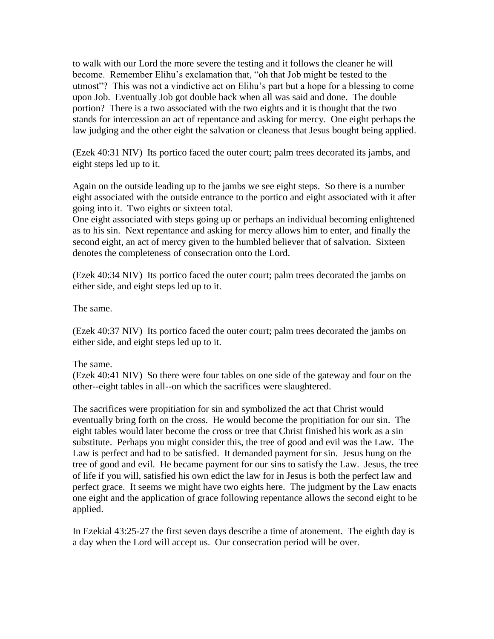to walk with our Lord the more severe the testing and it follows the cleaner he will become. Remember Elihu's exclamation that, "oh that Job might be tested to the utmost"? This was not a vindictive act on Elihu's part but a hope for a blessing to come upon Job. Eventually Job got double back when all was said and done. The double portion? There is a two associated with the two eights and it is thought that the two stands for intercession an act of repentance and asking for mercy. One eight perhaps the law judging and the other eight the salvation or cleaness that Jesus bought being applied.

(Ezek 40:31 NIV) Its portico faced the outer court; palm trees decorated its jambs, and eight steps led up to it.

Again on the outside leading up to the jambs we see eight steps. So there is a number eight associated with the outside entrance to the portico and eight associated with it after going into it. Two eights or sixteen total.

One eight associated with steps going up or perhaps an individual becoming enlightened as to his sin. Next repentance and asking for mercy allows him to enter, and finally the second eight, an act of mercy given to the humbled believer that of salvation. Sixteen denotes the completeness of consecration onto the Lord.

(Ezek 40:34 NIV) Its portico faced the outer court; palm trees decorated the jambs on either side, and eight steps led up to it.

The same.

(Ezek 40:37 NIV) Its portico faced the outer court; palm trees decorated the jambs on either side, and eight steps led up to it.

## The same.

(Ezek 40:41 NIV) So there were four tables on one side of the gateway and four on the other--eight tables in all--on which the sacrifices were slaughtered.

The sacrifices were propitiation for sin and symbolized the act that Christ would eventually bring forth on the cross. He would become the propitiation for our sin. The eight tables would later become the cross or tree that Christ finished his work as a sin substitute. Perhaps you might consider this, the tree of good and evil was the Law. The Law is perfect and had to be satisfied. It demanded payment for sin. Jesus hung on the tree of good and evil. He became payment for our sins to satisfy the Law. Jesus, the tree of life if you will, satisfied his own edict the law for in Jesus is both the perfect law and perfect grace. It seems we might have two eights here. The judgment by the Law enacts one eight and the application of grace following repentance allows the second eight to be applied.

In Ezekial 43:25-27 the first seven days describe a time of atonement. The eighth day is a day when the Lord will accept us. Our consecration period will be over.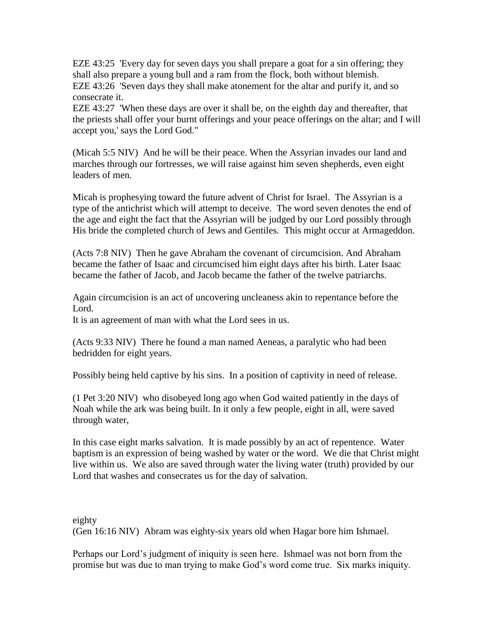EZE 43:25 'Every day for seven days you shall prepare a goat for a sin offering; they shall also prepare a young bull and a ram from the flock, both without blemish. EZE 43:26 'Seven days they shall make atonement for the altar and purify it, and so consecrate it.

EZE 43:27 'When these days are over it shall be, on the eighth day and thereafter, that the priests shall offer your burnt offerings and your peace offerings on the altar; and I will accept you,' says the Lord God."

(Micah 5:5 NIV) And he will be their peace. When the Assyrian invades our land and marches through our fortresses, we will raise against him seven shepherds, even eight leaders of men.

Micah is prophesying toward the future advent of Christ for Israel. The Assyrian is a type of the antichrist which will attempt to deceive. The word seven denotes the end of the age and eight the fact that the Assyrian will be judged by our Lord possibly through His bride the completed church of Jews and Gentiles. This might occur at Armageddon.

(Acts 7:8 NIV) Then he gave Abraham the covenant of circumcision. And Abraham became the father of Isaac and circumcised him eight days after his birth. Later Isaac became the father of Jacob, and Jacob became the father of the twelve patriarchs.

Again circumcision is an act of uncovering uncleaness akin to repentance before the Lord.

It is an agreement of man with what the Lord sees in us.

(Acts 9:33 NIV) There he found a man named Aeneas, a paralytic who had been bedridden for eight years.

Possibly being held captive by his sins. In a position of captivity in need of release.

(1 Pet 3:20 NIV) who disobeyed long ago when God waited patiently in the days of Noah while the ark was being built. In it only a few people, eight in all, were saved through water,

In this case eight marks salvation. It is made possibly by an act of repentence. Water baptism is an expression of being washed by water or the word. We die that Christ might live within us. We also are saved through water the living water (truth) provided by our Lord that washes and consecrates us for the day of salvation.

eighty (Gen 16:16 NIV) Abram was eighty-six years old when Hagar bore him Ishmael.

Perhaps our Lord's judgment of iniquity is seen here. Ishmael was not born from the promise but was due to man trying to make God's word come true. Six marks iniquity.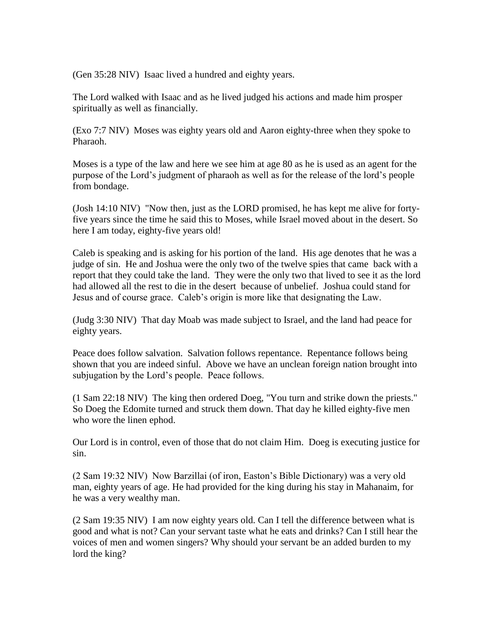(Gen 35:28 NIV) Isaac lived a hundred and eighty years.

The Lord walked with Isaac and as he lived judged his actions and made him prosper spiritually as well as financially.

(Exo 7:7 NIV) Moses was eighty years old and Aaron eighty-three when they spoke to Pharaoh.

Moses is a type of the law and here we see him at age 80 as he is used as an agent for the purpose of the Lord's judgment of pharaoh as well as for the release of the lord's people from bondage.

(Josh 14:10 NIV) "Now then, just as the LORD promised, he has kept me alive for fortyfive years since the time he said this to Moses, while Israel moved about in the desert. So here I am today, eighty-five years old!

Caleb is speaking and is asking for his portion of the land. His age denotes that he was a judge of sin. He and Joshua were the only two of the twelve spies that came back with a report that they could take the land. They were the only two that lived to see it as the lord had allowed all the rest to die in the desert because of unbelief. Joshua could stand for Jesus and of course grace. Caleb's origin is more like that designating the Law.

(Judg 3:30 NIV) That day Moab was made subject to Israel, and the land had peace for eighty years.

Peace does follow salvation. Salvation follows repentance. Repentance follows being shown that you are indeed sinful. Above we have an unclean foreign nation brought into subjugation by the Lord's people. Peace follows.

(1 Sam 22:18 NIV) The king then ordered Doeg, "You turn and strike down the priests." So Doeg the Edomite turned and struck them down. That day he killed eighty-five men who wore the linen ephod.

Our Lord is in control, even of those that do not claim Him. Doeg is executing justice for sin.

(2 Sam 19:32 NIV) Now Barzillai (of iron, Easton's Bible Dictionary) was a very old man, eighty years of age. He had provided for the king during his stay in Mahanaim, for he was a very wealthy man.

(2 Sam 19:35 NIV) I am now eighty years old. Can I tell the difference between what is good and what is not? Can your servant taste what he eats and drinks? Can I still hear the voices of men and women singers? Why should your servant be an added burden to my lord the king?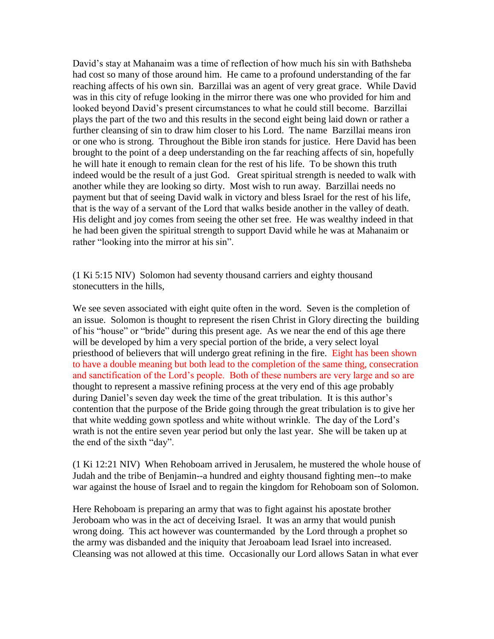David's stay at Mahanaim was a time of reflection of how much his sin with Bathsheba had cost so many of those around him. He came to a profound understanding of the far reaching affects of his own sin. Barzillai was an agent of very great grace. While David was in this city of refuge looking in the mirror there was one who provided for him and looked beyond David's present circumstances to what he could still become. Barzillai plays the part of the two and this results in the second eight being laid down or rather a further cleansing of sin to draw him closer to his Lord. The name Barzillai means iron or one who is strong. Throughout the Bible iron stands for justice. Here David has been brought to the point of a deep understanding on the far reaching affects of sin, hopefully he will hate it enough to remain clean for the rest of his life. To be shown this truth indeed would be the result of a just God. Great spiritual strength is needed to walk with another while they are looking so dirty. Most wish to run away. Barzillai needs no payment but that of seeing David walk in victory and bless Israel for the rest of his life, that is the way of a servant of the Lord that walks beside another in the valley of death. His delight and joy comes from seeing the other set free. He was wealthy indeed in that he had been given the spiritual strength to support David while he was at Mahanaim or rather "looking into the mirror at his sin".

(1 Ki 5:15 NIV) Solomon had seventy thousand carriers and eighty thousand stonecutters in the hills,

We see seven associated with eight quite often in the word. Seven is the completion of an issue. Solomon is thought to represent the risen Christ in Glory directing the building of his "house" or "bride" during this present age. As we near the end of this age there will be developed by him a very special portion of the bride, a very select loyal priesthood of believers that will undergo great refining in the fire. Eight has been shown to have a double meaning but both lead to the completion of the same thing, consecration and sanctification of the Lord's people. Both of these numbers are very large and so are thought to represent a massive refining process at the very end of this age probably during Daniel's seven day week the time of the great tribulation. It is this author's contention that the purpose of the Bride going through the great tribulation is to give her that white wedding gown spotless and white without wrinkle. The day of the Lord's wrath is not the entire seven year period but only the last year. She will be taken up at the end of the sixth "day".

(1 Ki 12:21 NIV) When Rehoboam arrived in Jerusalem, he mustered the whole house of Judah and the tribe of Benjamin--a hundred and eighty thousand fighting men--to make war against the house of Israel and to regain the kingdom for Rehoboam son of Solomon.

Here Rehoboam is preparing an army that was to fight against his apostate brother Jeroboam who was in the act of deceiving Israel. It was an army that would punish wrong doing. This act however was countermanded by the Lord through a prophet so the army was disbanded and the iniquity that Jeroaboam lead Israel into increased. Cleansing was not allowed at this time. Occasionally our Lord allows Satan in what ever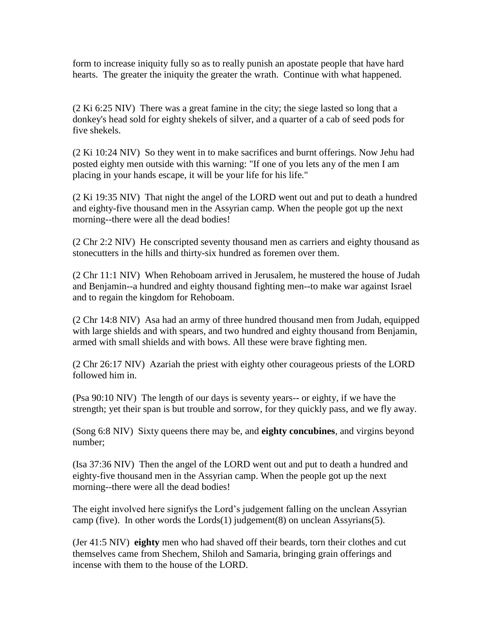form to increase iniquity fully so as to really punish an apostate people that have hard hearts. The greater the iniquity the greater the wrath. Continue with what happened.

(2 Ki 6:25 NIV) There was a great famine in the city; the siege lasted so long that a donkey's head sold for eighty shekels of silver, and a quarter of a cab of seed pods for five shekels.

(2 Ki 10:24 NIV) So they went in to make sacrifices and burnt offerings. Now Jehu had posted eighty men outside with this warning: "If one of you lets any of the men I am placing in your hands escape, it will be your life for his life."

(2 Ki 19:35 NIV) That night the angel of the LORD went out and put to death a hundred and eighty-five thousand men in the Assyrian camp. When the people got up the next morning--there were all the dead bodies!

(2 Chr 2:2 NIV) He conscripted seventy thousand men as carriers and eighty thousand as stonecutters in the hills and thirty-six hundred as foremen over them.

(2 Chr 11:1 NIV) When Rehoboam arrived in Jerusalem, he mustered the house of Judah and Benjamin--a hundred and eighty thousand fighting men--to make war against Israel and to regain the kingdom for Rehoboam.

(2 Chr 14:8 NIV) Asa had an army of three hundred thousand men from Judah, equipped with large shields and with spears, and two hundred and eighty thousand from Benjamin, armed with small shields and with bows. All these were brave fighting men.

(2 Chr 26:17 NIV) Azariah the priest with eighty other courageous priests of the LORD followed him in.

(Psa 90:10 NIV) The length of our days is seventy years-- or eighty, if we have the strength; yet their span is but trouble and sorrow, for they quickly pass, and we fly away.

(Song 6:8 NIV) Sixty queens there may be, and **eighty concubines**, and virgins beyond number;

(Isa 37:36 NIV) Then the angel of the LORD went out and put to death a hundred and eighty-five thousand men in the Assyrian camp. When the people got up the next morning--there were all the dead bodies!

The eight involved here signifys the Lord's judgement falling on the unclean Assyrian camp (five). In other words the  $Lords(1)$  judgement(8) on unclean Assyrians(5).

(Jer 41:5 NIV) **eighty** men who had shaved off their beards, torn their clothes and cut themselves came from Shechem, Shiloh and Samaria, bringing grain offerings and incense with them to the house of the LORD.